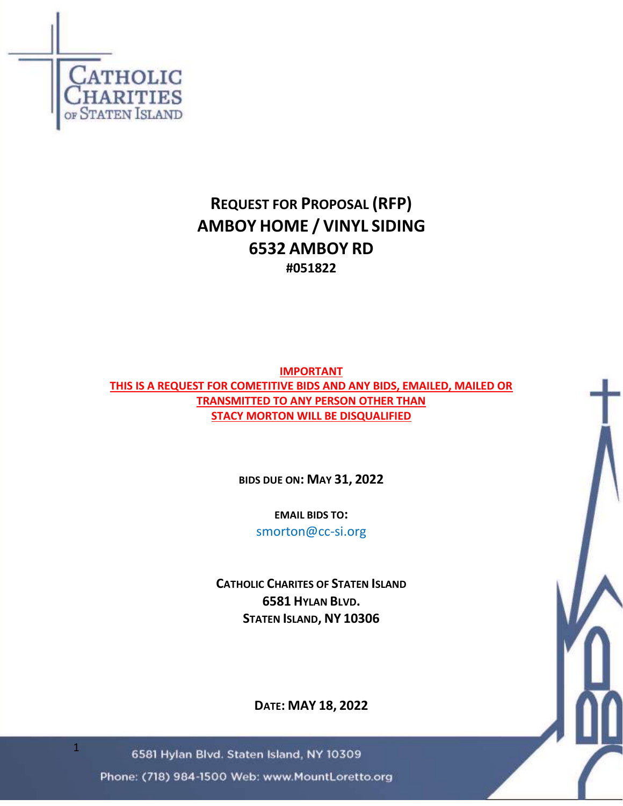

# **REQUEST FOR PROPOSAL (RFP) AMBOY HOME / VINYL SIDING 6532 AMBOY RD #051822**

**IMPORTANT THIS IS A REQUEST FOR COMETITIVE BIDS AND ANY BIDS, EMAILED, MAILED OR TRANSMITTED TO ANY PERSON OTHER THAN STACY MORTON WILL BE DISQUALIFIED**

**BIDS DUE ON: MAY 31, 2022**

**EMAIL BIDS TO:** smorton@cc-si.org

**CATHOLIC CHARITES OF STATEN ISLAND 6581 HYLAN BLVD. STATEN ISLAND, NY 10306**

**DATE: MAY 18, 2022**

6581 Hylan Blvd. Staten Island, NY 10309

Phone: (718) 984-1500 Web: www.MountLoretto.org

1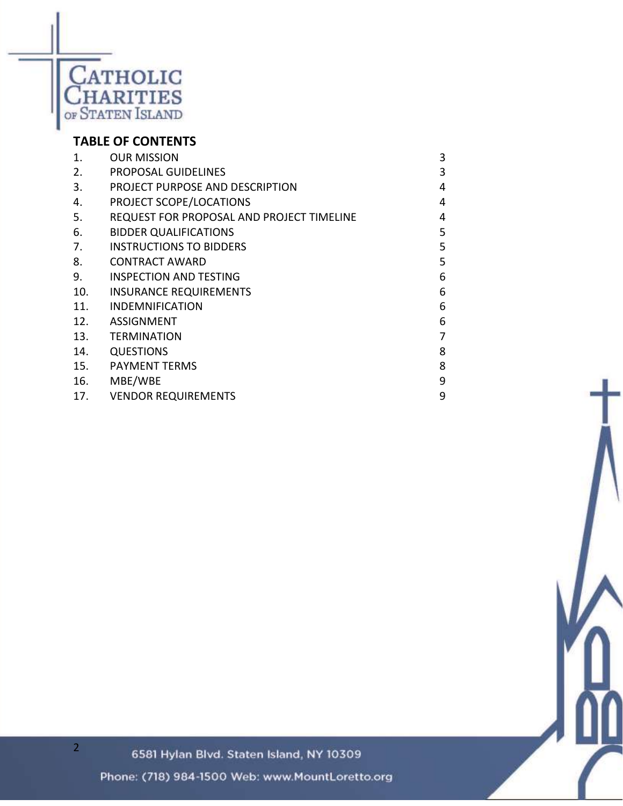

# **TABLE OF CONTENTS**

| 1.  | <b>OUR MISSION</b>                        | 3 |
|-----|-------------------------------------------|---|
| 2.  | PROPOSAL GUIDELINES                       | 3 |
| 3.  | PROJECT PURPOSE AND DESCRIPTION           | 4 |
| 4.  | PROJECT SCOPE/LOCATIONS                   | 4 |
| 5.  | REQUEST FOR PROPOSAL AND PROJECT TIMELINE | 4 |
| 6.  | <b>BIDDER QUALIFICATIONS</b>              | 5 |
| 7.  | <b>INSTRUCTIONS TO BIDDERS</b>            | 5 |
| 8.  | <b>CONTRACT AWARD</b>                     | 5 |
| 9.  | <b>INSPECTION AND TESTING</b>             | 6 |
| 10. | <b>INSURANCE REQUIREMENTS</b>             | 6 |
| 11. | <b>INDEMNIFICATION</b>                    | 6 |
| 12. | <b>ASSIGNMENT</b>                         | 6 |
| 13. | <b>TERMINATION</b>                        |   |
| 14. | <b>QUESTIONS</b>                          | 8 |
| 15. | <b>PAYMENT TERMS</b>                      | 8 |
| 16. | MBE/WBE                                   | 9 |
| 17. | <b>VENDOR REQUIREMENTS</b>                | 9 |

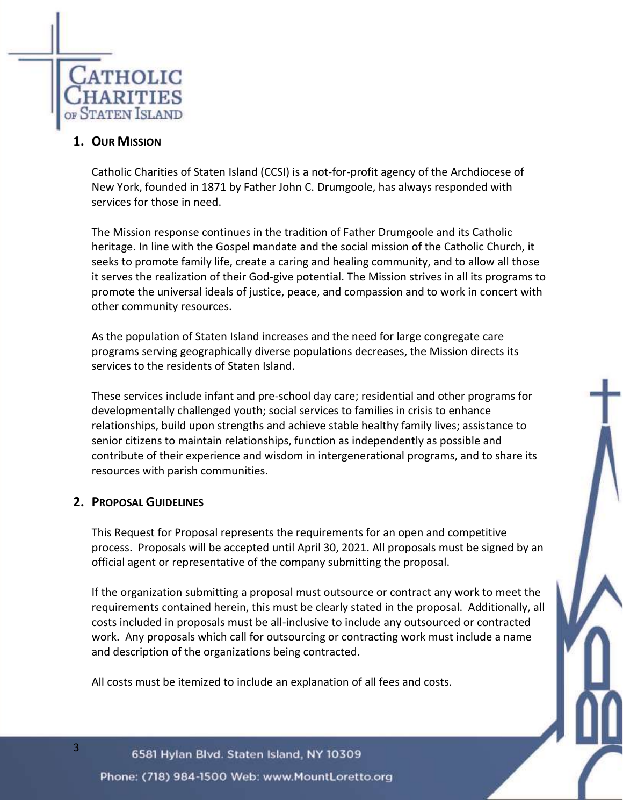

## **1. OUR MISSION**

Catholic Charities of Staten Island (CCSI) is a not-for-profit agency of the Archdiocese of New York, founded in 1871 by Father John C. Drumgoole, has always responded with services for those in need.

The Mission response continues in the tradition of Father Drumgoole and its Catholic heritage. In line with the Gospel mandate and the social mission of the Catholic Church, it seeks to promote family life, create a caring and healing community, and to allow all those it serves the realization of their God-give potential. The Mission strives in all its programs to promote the universal ideals of justice, peace, and compassion and to work in concert with other community resources.

As the population of Staten Island increases and the need for large congregate care programs serving geographically diverse populations decreases, the Mission directs its services to the residents of Staten Island.

These services include infant and pre-school day care; residential and other programs for developmentally challenged youth; social services to families in crisis to enhance relationships, build upon strengths and achieve stable healthy family lives; assistance to senior citizens to maintain relationships, function as independently as possible and contribute of their experience and wisdom in intergenerational programs, and to share its resources with parish communities.

### **2. PROPOSAL GUIDELINES**

3

This Request for Proposal represents the requirements for an open and competitive process. Proposals will be accepted until April 30, 2021. All proposals must be signed by an official agent or representative of the company submitting the proposal.

If the organization submitting a proposal must outsource or contract any work to meet the requirements contained herein, this must be clearly stated in the proposal. Additionally, all costs included in proposals must be all-inclusive to include any outsourced or contracted work. Any proposals which call for outsourcing or contracting work must include a name and description of the organizations being contracted.

All costs must be itemized to include an explanation of all fees and costs.

6581 Hylan Blvd. Staten Island, NY 10309 Phone: (718) 984-1500 Web: www.MountLoretto.org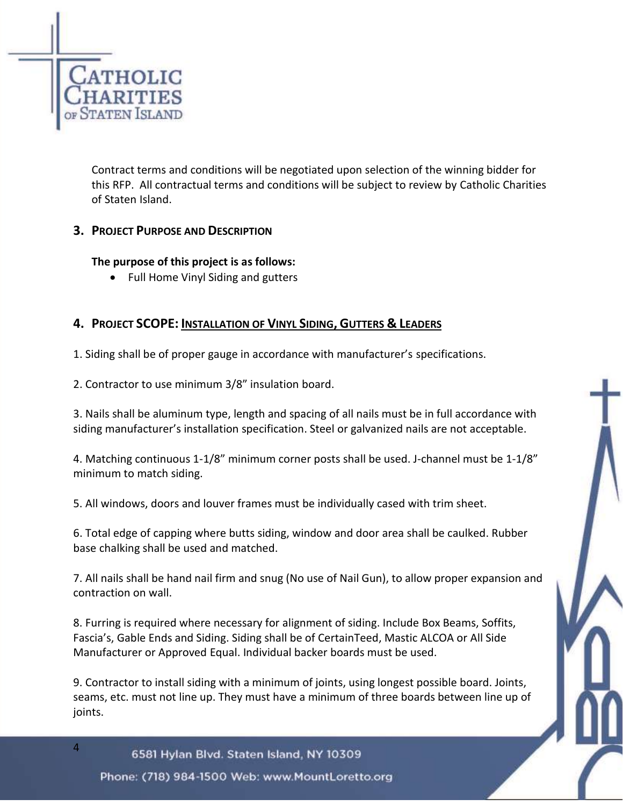

Contract terms and conditions will be negotiated upon selection of the winning bidder for this RFP. All contractual terms and conditions will be subject to review by Catholic Charities of Staten Island.

### **3. PROJECT PURPOSE AND DESCRIPTION**

### **The purpose of this project is as follows:**

• Full Home Vinyl Siding and gutters

# **4. PROJECT SCOPE: INSTALLATION OF VINYL SIDING, GUTTERS & LEADERS**

1. Siding shall be of proper gauge in accordance with manufacturer's specifications.

2. Contractor to use minimum 3/8" insulation board.

3. Nails shall be aluminum type, length and spacing of all nails must be in full accordance with siding manufacturer's installation specification. Steel or galvanized nails are not acceptable.

4. Matching continuous 1-1/8" minimum corner posts shall be used. J-channel must be 1-1/8" minimum to match siding.

5. All windows, doors and louver frames must be individually cased with trim sheet.

6. Total edge of capping where butts siding, window and door area shall be caulked. Rubber base chalking shall be used and matched.

7. All nails shall be hand nail firm and snug (No use of Nail Gun), to allow proper expansion and contraction on wall.

8. Furring is required where necessary for alignment of siding. Include Box Beams, Soffits, Fascia's, Gable Ends and Siding. Siding shall be of CertainTeed, Mastic ALCOA or All Side Manufacturer or Approved Equal. Individual backer boards must be used.

9. Contractor to install siding with a minimum of joints, using longest possible board. Joints, seams, etc. must not line up. They must have a minimum of three boards between line up of joints.

6581 Hylan Blvd. Staten Island, NY 10309 Phone: (718) 984-1500 Web: www.MountLoretto.org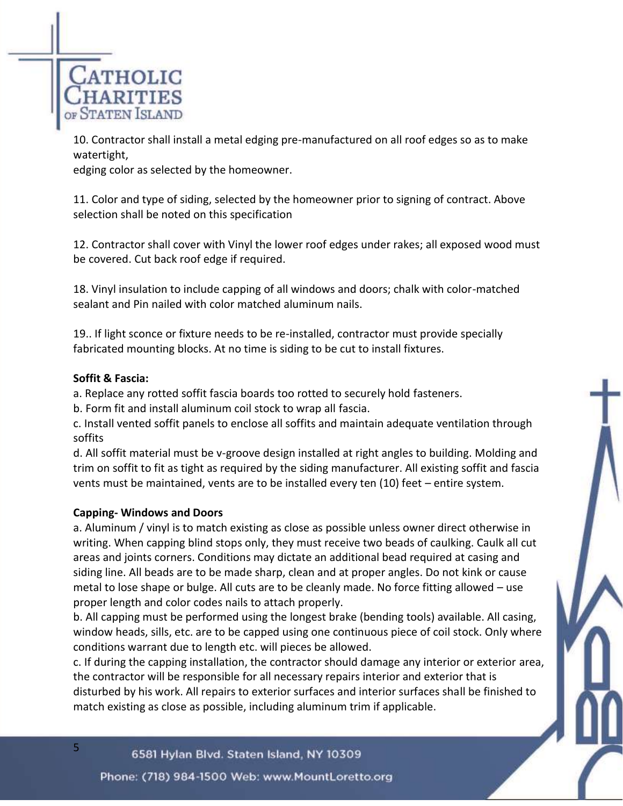

10. Contractor shall install a metal edging pre-manufactured on all roof edges so as to make watertight,

edging color as selected by the homeowner.

11. Color and type of siding, selected by the homeowner prior to signing of contract. Above selection shall be noted on this specification

12. Contractor shall cover with Vinyl the lower roof edges under rakes; all exposed wood must be covered. Cut back roof edge if required.

18. Vinyl insulation to include capping of all windows and doors; chalk with color-matched sealant and Pin nailed with color matched aluminum nails.

19.. If light sconce or fixture needs to be re-installed, contractor must provide specially fabricated mounting blocks. At no time is siding to be cut to install fixtures.

#### **Soffit & Fascia:**

5

a. Replace any rotted soffit fascia boards too rotted to securely hold fasteners.

b. Form fit and install aluminum coil stock to wrap all fascia.

c. Install vented soffit panels to enclose all soffits and maintain adequate ventilation through soffits

d. All soffit material must be v-groove design installed at right angles to building. Molding and trim on soffit to fit as tight as required by the siding manufacturer. All existing soffit and fascia vents must be maintained, vents are to be installed every ten (10) feet – entire system.

### **Capping- Windows and Doors**

a. Aluminum / vinyl is to match existing as close as possible unless owner direct otherwise in writing. When capping blind stops only, they must receive two beads of caulking. Caulk all cut areas and joints corners. Conditions may dictate an additional bead required at casing and siding line. All beads are to be made sharp, clean and at proper angles. Do not kink or cause metal to lose shape or bulge. All cuts are to be cleanly made. No force fitting allowed – use proper length and color codes nails to attach properly.

b. All capping must be performed using the longest brake (bending tools) available. All casing, window heads, sills, etc. are to be capped using one continuous piece of coil stock. Only where conditions warrant due to length etc. will pieces be allowed.

c. If during the capping installation, the contractor should damage any interior or exterior area, the contractor will be responsible for all necessary repairs interior and exterior that is disturbed by his work. All repairs to exterior surfaces and interior surfaces shall be finished to match existing as close as possible, including aluminum trim if applicable.

#### 6581 Hylan Blvd. Staten Island, NY 10309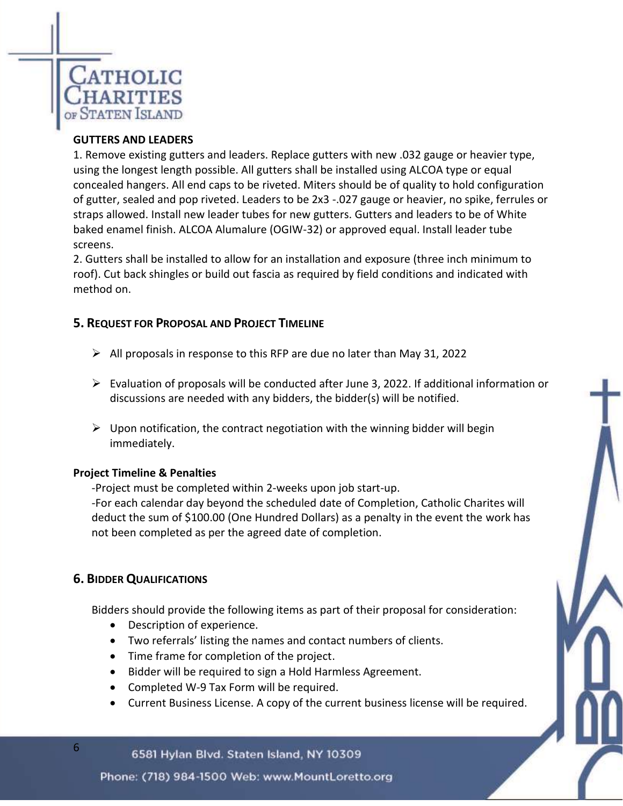

#### **GUTTERS AND LEADERS**

1. Remove existing gutters and leaders. Replace gutters with new .032 gauge or heavier type, using the longest length possible. All gutters shall be installed using ALCOA type or equal concealed hangers. All end caps to be riveted. Miters should be of quality to hold configuration of gutter, sealed and pop riveted. Leaders to be 2x3 -.027 gauge or heavier, no spike, ferrules or straps allowed. Install new leader tubes for new gutters. Gutters and leaders to be of White baked enamel finish. ALCOA Alumalure (OGIW-32) or approved equal. Install leader tube screens.

2. Gutters shall be installed to allow for an installation and exposure (three inch minimum to roof). Cut back shingles or build out fascia as required by field conditions and indicated with method on.

#### **5. REQUEST FOR PROPOSAL AND PROJECT TIMELINE**

- $\triangleright$  All proposals in response to this RFP are due no later than May 31, 2022
- $\triangleright$  Evaluation of proposals will be conducted after June 3, 2022. If additional information or discussions are needed with any bidders, the bidder(s) will be notified.
- $\triangleright$  Upon notification, the contract negotiation with the winning bidder will begin immediately.

#### **Project Timeline & Penalties**

-Project must be completed within 2-weeks upon job start-up.

*-*For each calendar day beyond the scheduled date of Completion, Catholic Charites will deduct the sum of \$100.00 (One Hundred Dollars) as a penalty in the event the work has not been completed as per the agreed date of completion.

### **6. BIDDER QUALIFICATIONS**

6

Bidders should provide the following items as part of their proposal for consideration:

- Description of experience.
- Two referrals' listing the names and contact numbers of clients.
- Time frame for completion of the project.
- Bidder will be required to sign a Hold Harmless Agreement.
- Completed W-9 Tax Form will be required.
- Current Business License. A copy of the current business license will be required.

#### 6581 Hylan Blvd. Staten Island, NY 10309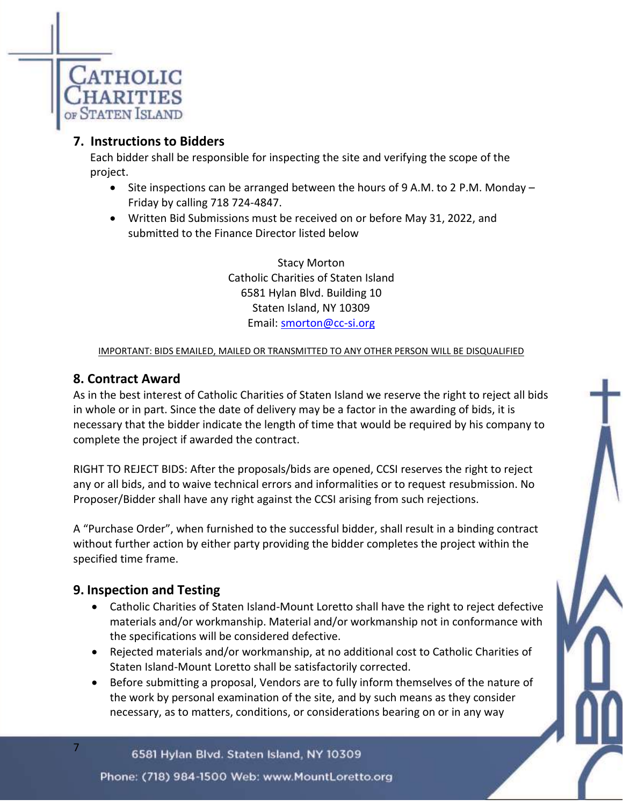

# **7. Instructions to Bidders**

Each bidder shall be responsible for inspecting the site and verifying the scope of the project.

- Site inspections can be arranged between the hours of 9 A.M. to 2 P.M. Monday Friday by calling 718 724-4847.
- Written Bid Submissions must be received on or before May 31, 2022, and submitted to the Finance Director listed below

Stacy Morton Catholic Charities of Staten Island 6581 Hylan Blvd. Building 10 Staten Island, NY 10309 Email: [smorton@cc-si.org](mailto:smorton@cc-si.org)

#### IMPORTANT: BIDS EMAILED, MAILED OR TRANSMITTED TO ANY OTHER PERSON WILL BE DISQUALIFIED

# **8. Contract Award**

As in the best interest of Catholic Charities of Staten Island we reserve the right to reject all bids in whole or in part. Since the date of delivery may be a factor in the awarding of bids, it is necessary that the bidder indicate the length of time that would be required by his company to complete the project if awarded the contract.

RIGHT TO REJECT BIDS: After the proposals/bids are opened, CCSI reserves the right to reject any or all bids, and to waive technical errors and informalities or to request resubmission. No Proposer/Bidder shall have any right against the CCSI arising from such rejections.

A "Purchase Order", when furnished to the successful bidder, shall result in a binding contract without further action by either party providing the bidder completes the project within the specified time frame.

# **9. Inspection and Testing**

7

- Catholic Charities of Staten Island-Mount Loretto shall have the right to reject defective materials and/or workmanship. Material and/or workmanship not in conformance with the specifications will be considered defective.
- Rejected materials and/or workmanship, at no additional cost to Catholic Charities of Staten Island-Mount Loretto shall be satisfactorily corrected.
- Before submitting a proposal, Vendors are to fully inform themselves of the nature of the work by personal examination of the site, and by such means as they consider necessary, as to matters, conditions, or considerations bearing on or in any way

6581 Hylan Blvd. Staten Island, NY 10309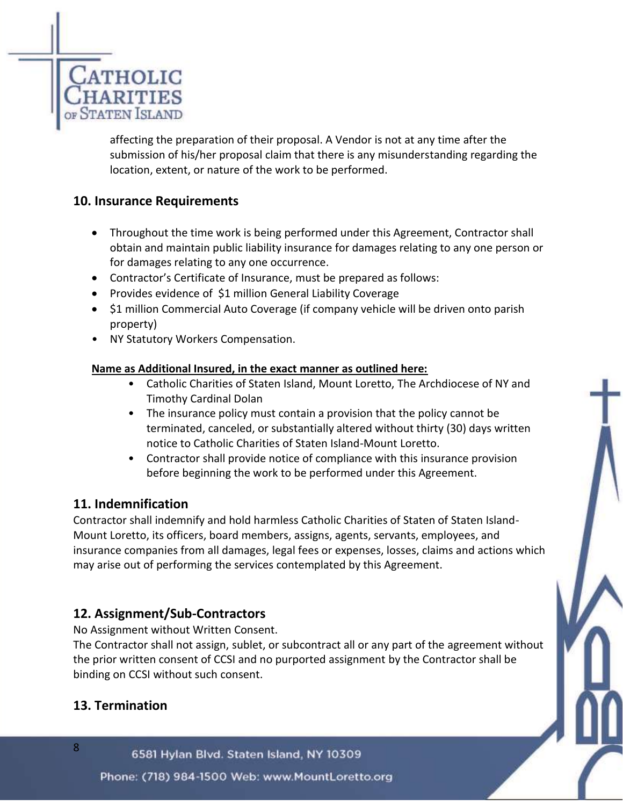

affecting the preparation of their proposal. A Vendor is not at any time after the submission of his/her proposal claim that there is any misunderstanding regarding the location, extent, or nature of the work to be performed.

# **10. Insurance Requirements**

- Throughout the time work is being performed under this Agreement, Contractor shall obtain and maintain public liability insurance for damages relating to any one person or for damages relating to any one occurrence.
- Contractor's Certificate of Insurance, must be prepared as follows:
- Provides evidence of \$1 million General Liability Coverage
- \$1 million Commercial Auto Coverage (if company vehicle will be driven onto parish property)
- NY Statutory Workers Compensation.

#### **Name as Additional Insured, in the exact manner as outlined here:**

- Catholic Charities of Staten Island, Mount Loretto, The Archdiocese of NY and Timothy Cardinal Dolan
- The insurance policy must contain a provision that the policy cannot be terminated, canceled, or substantially altered without thirty (30) days written notice to Catholic Charities of Staten Island-Mount Loretto.
- Contractor shall provide notice of compliance with this insurance provision before beginning the work to be performed under this Agreement.

### **11. Indemnification**

Contractor shall indemnify and hold harmless Catholic Charities of Staten of Staten Island-Mount Loretto, its officers, board members, assigns, agents, servants, employees, and insurance companies from all damages, legal fees or expenses, losses, claims and actions which may arise out of performing the services contemplated by this Agreement.

# **12. Assignment/Sub-Contractors**

No Assignment without Written Consent.

The Contractor shall not assign, sublet, or subcontract all or any part of the agreement without the prior written consent of CCSI and no purported assignment by the Contractor shall be binding on CCSI without such consent.

# **13. Termination**

8

6581 Hylan Blvd. Staten Island, NY 10309